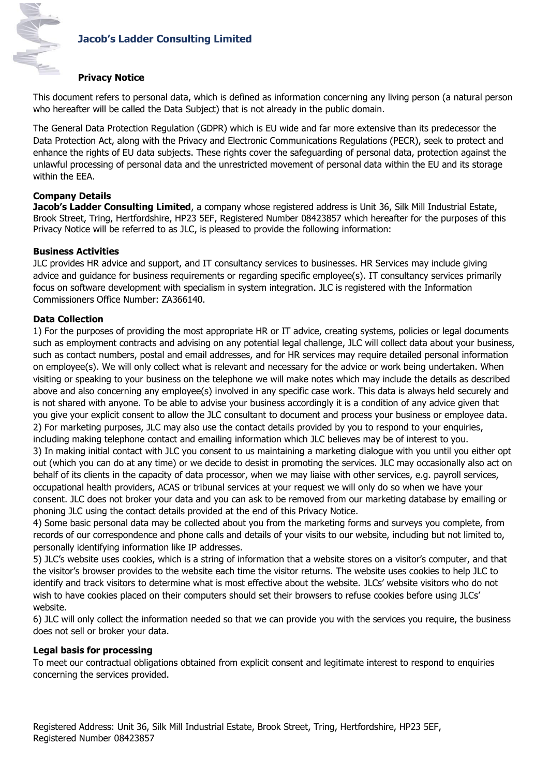

# **Jacob's Ladder Consulting Limited**

# **Privacy Notice**

This document refers to personal data, which is defined as information concerning any living person (a natural person who hereafter will be called the Data Subject) that is not already in the public domain.

The General Data Protection Regulation (GDPR) which is EU wide and far more extensive than its predecessor the Data Protection Act, along with the Privacy and Electronic Communications Regulations (PECR), seek to protect and enhance the rights of EU data subjects. These rights cover the safeguarding of personal data, protection against the unlawful processing of personal data and the unrestricted movement of personal data within the EU and its storage within the EEA.

# **Company Details**

**Jacob's Ladder Consulting Limited**, a company whose registered address is Unit 36, Silk Mill Industrial Estate, Brook Street, Tring, Hertfordshire, HP23 5EF, Registered Number 08423857 which hereafter for the purposes of this Privacy Notice will be referred to as JLC, is pleased to provide the following information:

# **Business Activities**

JLC provides HR advice and support, and IT consultancy services to businesses. HR Services may include giving advice and guidance for business requirements or regarding specific employee(s). IT consultancy services primarily focus on software development with specialism in system integration. JLC is registered with the Information Commissioners Office Number: ZA366140.

# **Data Collection**

1) For the purposes of providing the most appropriate HR or IT advice, creating systems, policies or legal documents such as employment contracts and advising on any potential legal challenge, JLC will collect data about your business, such as contact numbers, postal and email addresses, and for HR services may require detailed personal information on employee(s). We will only collect what is relevant and necessary for the advice or work being undertaken. When visiting or speaking to your business on the telephone we will make notes which may include the details as described above and also concerning any employee(s) involved in any specific case work. This data is always held securely and is not shared with anyone. To be able to advise your business accordingly it is a condition of any advice given that you give your explicit consent to allow the JLC consultant to document and process your business or employee data. 2) For marketing purposes, JLC may also use the contact details provided by you to respond to your enquiries, including making telephone contact and emailing information which JLC believes may be of interest to you. 3) In making initial contact with JLC you consent to us maintaining a marketing dialogue with you until you either opt out (which you can do at any time) or we decide to desist in promoting the services. JLC may occasionally also act on behalf of its clients in the capacity of data processor, when we may liaise with other services, e.g. payroll services, occupational health providers, ACAS or tribunal services at your request we will only do so when we have your consent. JLC does not broker your data and you can ask to be removed from our marketing database by emailing or phoning JLC using the contact details provided at the end of this Privacy Notice.

4) Some basic personal data may be collected about you from the marketing forms and surveys you complete, from records of our correspondence and phone calls and details of your visits to our website, including but not limited to, personally identifying information like IP addresses.

5) JLC's website uses cookies, which is a string of information that a website stores on a visitor's computer, and that the visitor's browser provides to the website each time the visitor returns. The website uses cookies to help JLC to identify and track visitors to determine what is most effective about the website. JLCs' website visitors who do not wish to have cookies placed on their computers should set their browsers to refuse cookies before using JLCs' website.

6) JLC will only collect the information needed so that we can provide you with the services you require, the business does not sell or broker your data.

# **Legal basis for processing**

To meet our contractual obligations obtained from explicit consent and legitimate interest to respond to enquiries concerning the services provided.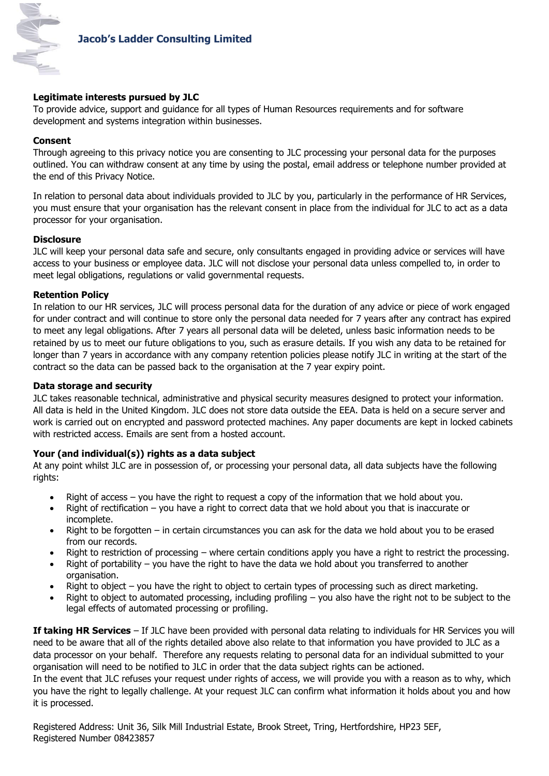

# **Legitimate interests pursued by JLC**

To provide advice, support and guidance for all types of Human Resources requirements and for software development and systems integration within businesses.

# **Consent**

Through agreeing to this privacy notice you are consenting to JLC processing your personal data for the purposes outlined. You can withdraw consent at any time by using the postal, email address or telephone number provided at the end of this Privacy Notice.

In relation to personal data about individuals provided to JLC by you, particularly in the performance of HR Services, you must ensure that your organisation has the relevant consent in place from the individual for JLC to act as a data processor for your organisation.

## **Disclosure**

JLC will keep your personal data safe and secure, only consultants engaged in providing advice or services will have access to your business or employee data. JLC will not disclose your personal data unless compelled to, in order to meet legal obligations, regulations or valid governmental requests.

#### **Retention Policy**

In relation to our HR services, JLC will process personal data for the duration of any advice or piece of work engaged for under contract and will continue to store only the personal data needed for 7 years after any contract has expired to meet any legal obligations. After 7 years all personal data will be deleted, unless basic information needs to be retained by us to meet our future obligations to you, such as erasure details. If you wish any data to be retained for longer than 7 years in accordance with any company retention policies please notify JLC in writing at the start of the contract so the data can be passed back to the organisation at the 7 year expiry point.

## **Data storage and security**

JLC takes reasonable technical, administrative and physical security measures designed to protect your information. All data is held in the United Kingdom. JLC does not store data outside the EEA. Data is held on a secure server and work is carried out on encrypted and password protected machines. Any paper documents are kept in locked cabinets with restricted access. Emails are sent from a hosted account.

# **Your (and individual(s)) rights as a data subject**

At any point whilst JLC are in possession of, or processing your personal data, all data subjects have the following rights:

- Right of access you have the right to request a copy of the information that we hold about you.
- Right of rectification you have a right to correct data that we hold about you that is inaccurate or incomplete.
- Right to be forgotten in certain circumstances you can ask for the data we hold about you to be erased from our records.
- Right to restriction of processing where certain conditions apply you have a right to restrict the processing.
- $\bullet$  Right of portability you have the right to have the data we hold about you transferred to another organisation.
- Right to object you have the right to object to certain types of processing such as direct marketing.
- Right to object to automated processing, including profiling you also have the right not to be subject to the legal effects of automated processing or profiling.

**If taking HR Services** – If JLC have been provided with personal data relating to individuals for HR Services you will need to be aware that all of the rights detailed above also relate to that information you have provided to JLC as a data processor on your behalf. Therefore any requests relating to personal data for an individual submitted to your organisation will need to be notified to JLC in order that the data subject rights can be actioned.

In the event that JLC refuses your request under rights of access, we will provide you with a reason as to why, which you have the right to legally challenge. At your request JLC can confirm what information it holds about you and how it is processed.

Registered Address: Unit 36, Silk Mill Industrial Estate, Brook Street, Tring, Hertfordshire, HP23 5EF, Registered Number 08423857